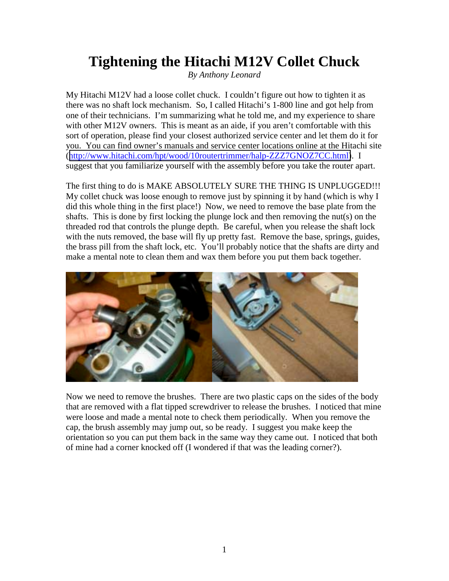## **Tightening the Hitachi M12V Collet Chuck**

*By Anthony Leonard*

My Hitachi M12V had a loose collet chuck. I couldn't figure out how to tighten it as there was no shaft lock mechanism. So, I called Hitachi's 1-800 line and got help from one of their technicians. I'm summarizing what he told me, and my experience to share with other M12V owners. This is meant as an aide, if you aren't comfortable with this sort of operation, please find your closest authorized service center and let them do it for you. You can find owner's manuals and service center locations online at the Hitachi site ([http://www.hitachi.com/hpt/wood/10routertrimmer/halp-ZZZ7GNOZ7CC.html\)](http://www.hitachi.com/hpt/wood/10routertrimmer/halp-ZZZ7GNOZ7CC.html). I suggest that you familiarize yourself with the assembly before you take the router apart.

The first thing to do is MAKE ABSOLUTELY SURE THE THING IS UNPLUGGED!!! My collet chuck was loose enough to remove just by spinning it by hand (which is why I did this whole thing in the first place!) Now, we need to remove the base plate from the shafts. This is done by first locking the plunge lock and then removing the nut(s) on the threaded rod that controls the plunge depth. Be careful, when you release the shaft lock with the nuts removed, the base will fly up pretty fast. Remove the base, springs, guides, the brass pill from the shaft lock, etc. You'll probably notice that the shafts are dirty and make a mental note to clean them and wax them before you put them back together.



Now we need to remove the brushes. There are two plastic caps on the sides of the body that are removed with a flat tipped screwdriver to release the brushes. I noticed that mine were loose and made a mental note to check them periodically. When you remove the cap, the brush assembly may jump out, so be ready. I suggest you make keep the orientation so you can put them back in the same way they came out. I noticed that both of mine had a corner knocked off (I wondered if that was the leading corner?).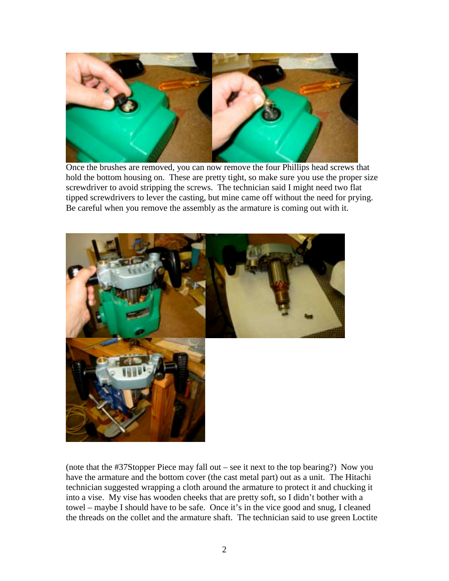

Once the brushes are removed, you can now remove the four Phillips head screws that hold the bottom housing on. These are pretty tight, so make sure you use the proper size screwdriver to avoid stripping the screws. The technician said I might need two flat tipped screwdrivers to lever the casting, but mine came off without the need for prying. Be careful when you remove the assembly as the armature is coming out with it.



(note that the #37Stopper Piece may fall out – see it next to the top bearing?) Now you have the armature and the bottom cover (the cast metal part) out as a unit. The Hitachi technician suggested wrapping a cloth around the armature to protect it and chucking it into a vise. My vise has wooden cheeks that are pretty soft, so I didn't bother with a towel – maybe I should have to be safe. Once it's in the vice good and snug, I cleaned the threads on the collet and the armature shaft. The technician said to use green Loctite